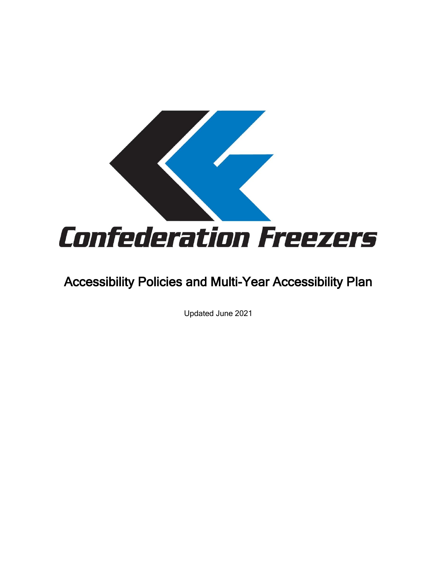

# Accessibility Policies and Multi-Year Accessibility Plan

Updated June 2021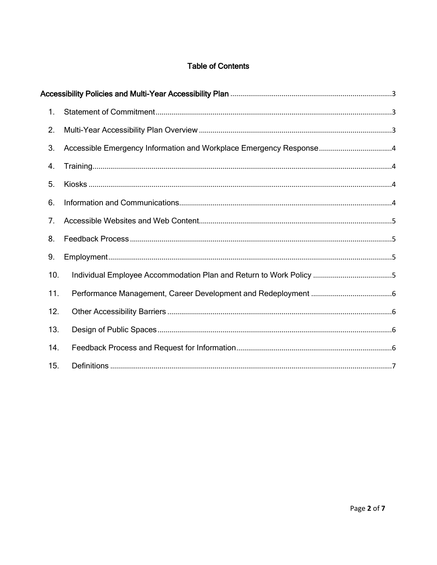# **Table of Contents**

|  | 1.  |                                                                    |  |
|--|-----|--------------------------------------------------------------------|--|
|  | 2.  |                                                                    |  |
|  | 3.  | Accessible Emergency Information and Workplace Emergency Response4 |  |
|  | 4.  |                                                                    |  |
|  | 5.  |                                                                    |  |
|  | 6.  |                                                                    |  |
|  | 7.  |                                                                    |  |
|  | 8.  |                                                                    |  |
|  | 9.  |                                                                    |  |
|  | 10. | Individual Employee Accommodation Plan and Return to Work Policy 5 |  |
|  | 11. |                                                                    |  |
|  | 12. |                                                                    |  |
|  | 13. |                                                                    |  |
|  | 14. |                                                                    |  |
|  | 15. |                                                                    |  |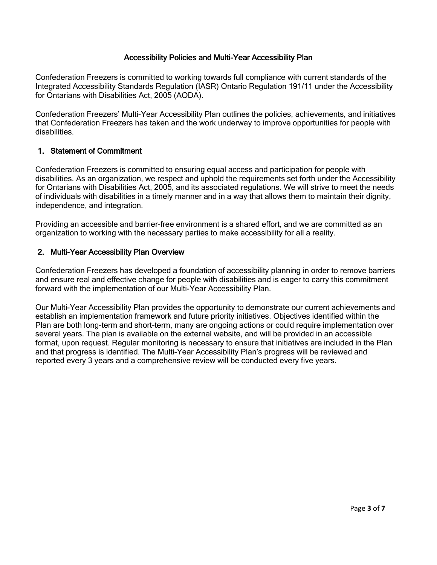## Accessibility Policies and Multi-Year Accessibility Plan

<span id="page-2-0"></span>Confederation Freezers is committed to working towards full compliance with current standards of the Integrated Accessibility Standards Regulation (IASR) Ontario Regulation 191/11 under the Accessibility for Ontarians with Disabilities Act, 2005 (AODA).

Confederation Freezers' Multi-Year Accessibility Plan outlines the policies, achievements, and initiatives that Confederation Freezers has taken and the work underway to improve opportunities for people with disabilities.

#### <span id="page-2-1"></span>1. Statement of Commitment

Confederation Freezers is committed to ensuring equal access and participation for people with disabilities. As an organization, we respect and uphold the requirements set forth under the Accessibility for Ontarians with Disabilities Act, 2005, and its associated regulations. We will strive to meet the needs of individuals with disabilities in a timely manner and in a way that allows them to maintain their dignity, independence, and integration.

Providing an accessible and barrier-free environment is a shared effort, and we are committed as an organization to working with the necessary parties to make accessibility for all a reality.

#### <span id="page-2-2"></span>2. Multi-Year Accessibility Plan Overview

Confederation Freezers has developed a foundation of accessibility planning in order to remove barriers and ensure real and effective change for people with disabilities and is eager to carry this commitment forward with the implementation of our Multi-Year Accessibility Plan.

Our Multi-Year Accessibility Plan provides the opportunity to demonstrate our current achievements and establish an implementation framework and future priority initiatives. Objectives identified within the Plan are both long-term and short-term, many are ongoing actions or could require implementation over several years. The plan is available on the external website, and will be provided in an accessible format, upon request. Regular monitoring is necessary to ensure that initiatives are included in the Plan and that progress is identified. The Multi-Year Accessibility Plan's progress will be reviewed and reported every 3 years and a comprehensive review will be conducted every five years.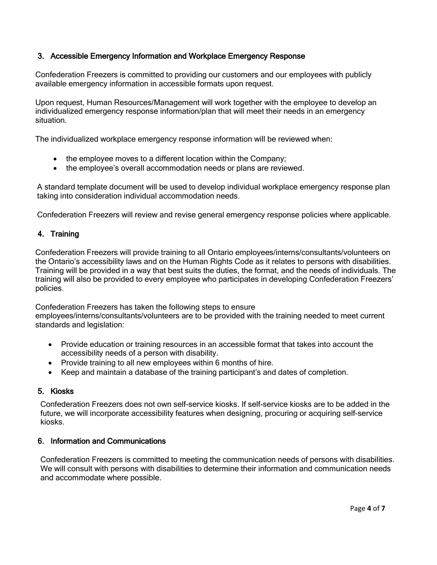# <span id="page-3-0"></span>3. Accessible Emergency Information and Workplace Emergency Response

Confederation Freezers is committed to providing our customers and our employees with publicly available emergency information in accessible formats upon request.

Upon request, Human Resources/Management will work together with the employee to develop an individualized emergency response information/plan that will meet their needs in an emergency situation.

The individualized workplace emergency response information will be reviewed when:

- the employee moves to a different location within the Company;
- the employee's overall accommodation needs or plans are reviewed.

A standard template document will be used to develop individual workplace emergency response plan taking into consideration individual accommodation needs.

Confederation Freezers will review and revise general emergency response policies where applicable.

# <span id="page-3-1"></span>4. Training

Confederation Freezers will provide training to all Ontario employees/interns/consultants/volunteers on the Ontario's accessibility laws and on the Human Rights Code as it relates to persons with disabilities. Training will be provided in a way that best suits the duties, the format, and the needs of individuals. The training will also be provided to every employee who participates in developing Confederation Freezers' policies.

Confederation Freezers has taken the following steps to ensure

employees/interns/consultants/volunteers are to be provided with the training needed to meet current standards and legislation:

- Provide education or training resources in an accessible format that takes into account the accessibility needs of a person with disability.
- Provide training to all new employees within 6 months of hire.
- Keep and maintain a database of the training participant's and dates of completion.

## <span id="page-3-2"></span>5. Kiosks

Confederation Freezers does not own self-service kiosks. If self-service kiosks are to be added in the future, we will incorporate accessibility features when designing, procuring or acquiring self-service kiosks.

# <span id="page-3-3"></span>6. Information and Communications

Confederation Freezers is committed to meeting the communication needs of persons with disabilities. We will consult with persons with disabilities to determine their information and communication needs and accommodate where possible.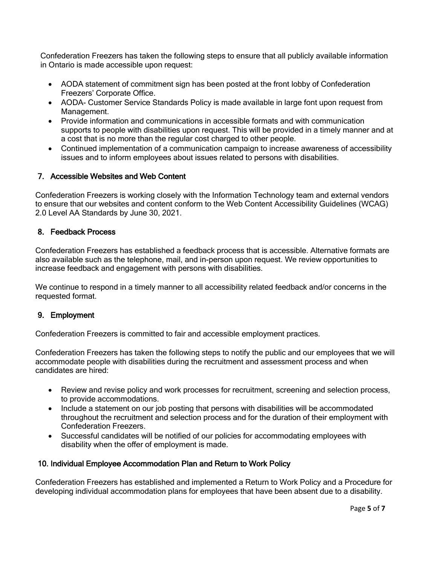Confederation Freezers has taken the following steps to ensure that all publicly available information in Ontario is made accessible upon request:

- AODA statement of commitment sign has been posted at the front lobby of Confederation Freezers' Corporate Office.
- AODA- Customer Service Standards Policy is made available in large font upon request from Management.
- Provide information and communications in accessible formats and with communication supports to people with disabilities upon request. This will be provided in a timely manner and at a cost that is no more than the regular cost charged to other people.
- Continued implementation of a communication campaign to increase awareness of accessibility issues and to inform employees about issues related to persons with disabilities.

# <span id="page-4-0"></span>7. Accessible Websites and Web Content

Confederation Freezers is working closely with the Information Technology team and external vendors to ensure that our websites and content conform to the Web Content Accessibility Guidelines (WCAG) 2.0 Level AA Standards by June 30, 2021.

# <span id="page-4-1"></span>8. Feedback Process

Confederation Freezers has established a feedback process that is accessible. Alternative formats are also available such as the telephone, mail, and in-person upon request. We review opportunities to increase feedback and engagement with persons with disabilities.

We continue to respond in a timely manner to all accessibility related feedback and/or concerns in the requested format.

## <span id="page-4-2"></span>9. Employment

Confederation Freezers is committed to fair and accessible employment practices.

Confederation Freezers has taken the following steps to notify the public and our employees that we will accommodate people with disabilities during the recruitment and assessment process and when candidates are hired:

- Review and revise policy and work processes for recruitment, screening and selection process, to provide accommodations.
- Include a statement on our job posting that persons with disabilities will be accommodated throughout the recruitment and selection process and for the duration of their employment with Confederation Freezers.
- Successful candidates will be notified of our policies for accommodating employees with disability when the offer of employment is made.

# <span id="page-4-3"></span>10. Individual Employee Accommodation Plan and Return to Work Policy

Confederation Freezers has established and implemented a Return to Work Policy and a Procedure for developing individual accommodation plans for employees that have been absent due to a disability.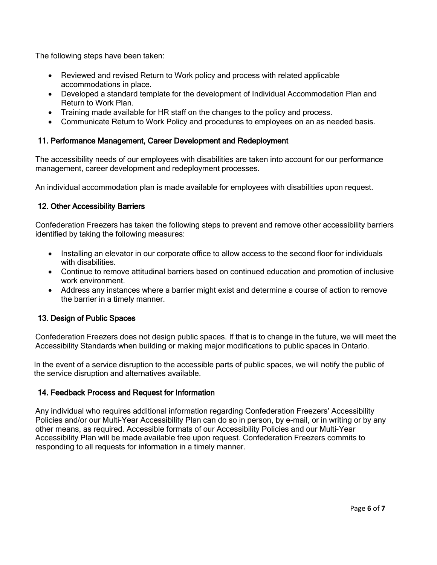The following steps have been taken:

- Reviewed and revised Return to Work policy and process with related applicable accommodations in place.
- Developed a standard template for the development of Individual Accommodation Plan and Return to Work Plan.
- Training made available for HR staff on the changes to the policy and process.
- Communicate Return to Work Policy and procedures to employees on an as needed basis.

# <span id="page-5-0"></span>11. Performance Management, Career Development and Redeployment

The accessibility needs of our employees with disabilities are taken into account for our performance management, career development and redeployment processes.

An individual accommodation plan is made available for employees with disabilities upon request.

# <span id="page-5-1"></span>12. Other Accessibility Barriers

Confederation Freezers has taken the following steps to prevent and remove other accessibility barriers identified by taking the following measures:

- Installing an elevator in our corporate office to allow access to the second floor for individuals with disabilities
- Continue to remove attitudinal barriers based on continued education and promotion of inclusive work environment.
- Address any instances where a barrier might exist and determine a course of action to remove the barrier in a timely manner.

## <span id="page-5-2"></span>13. Design of Public Spaces

Confederation Freezers does not design public spaces. If that is to change in the future, we will meet the Accessibility Standards when building or making major modifications to public spaces in Ontario.

In the event of a service disruption to the accessible parts of public spaces, we will notify the public of the service disruption and alternatives available.

## <span id="page-5-3"></span>14. Feedback Process and Request for Information

Any individual who requires additional information regarding Confederation Freezers' Accessibility Policies and/or our Multi-Year Accessibility Plan can do so in person, by e-mail, or in writing or by any other means, as required. Accessible formats of our Accessibility Policies and our Multi-Year Accessibility Plan will be made available free upon request. Confederation Freezers commits to responding to all requests for information in a timely manner.